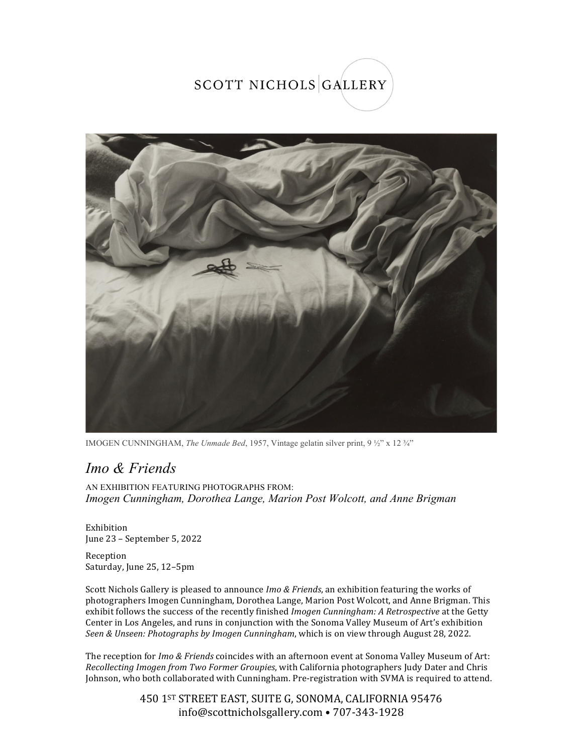## SCOTT NICHOLS GALLERY



IMOGEN CUNNINGHAM, *The Unmade Bed*, 1957, Vintage gelatin silver print, 9 ½" x 12 ¾"

## *Imo & Friends*

AN EXHIBITION FEATURING PHOTOGRAPHS FROM: *Imogen Cunningham, Dorothea Lange, Marion Post Wolcott, and Anne Brigman*

Exhibition June 23 - September 5, 2022

Reception Saturday, June 25, 12-5pm

Scott Nichols Gallery is pleased to announce *Imo & Friends*, an exhibition featuring the works of photographers Imogen Cunningham, Dorothea Lange, Marion Post Wolcott, and Anne Brigman. This exhibit follows the success of the recently finished *Imogen Cunningham: A Retrospective* at the Getty Center in Los Angeles, and runs in conjunction with the Sonoma Valley Museum of Art's exhibition Seen & Unseen: Photographs by Imogen Cunningham, which is on view through August 28, 2022.

The reception for *Imo & Friends* coincides with an afternoon event at Sonoma Valley Museum of Art: *Recollecting Imogen from Two Former Groupies*, with California photographers Judy Dater and Chris Johnson, who both collaborated with Cunningham. Pre-registration with SVMA is required to attend.

> 450 1ST STREET EAST, SUITE G, SONOMA, CALIFORNIA 95476 info@scottnicholsgallery.com • 707-343-1928